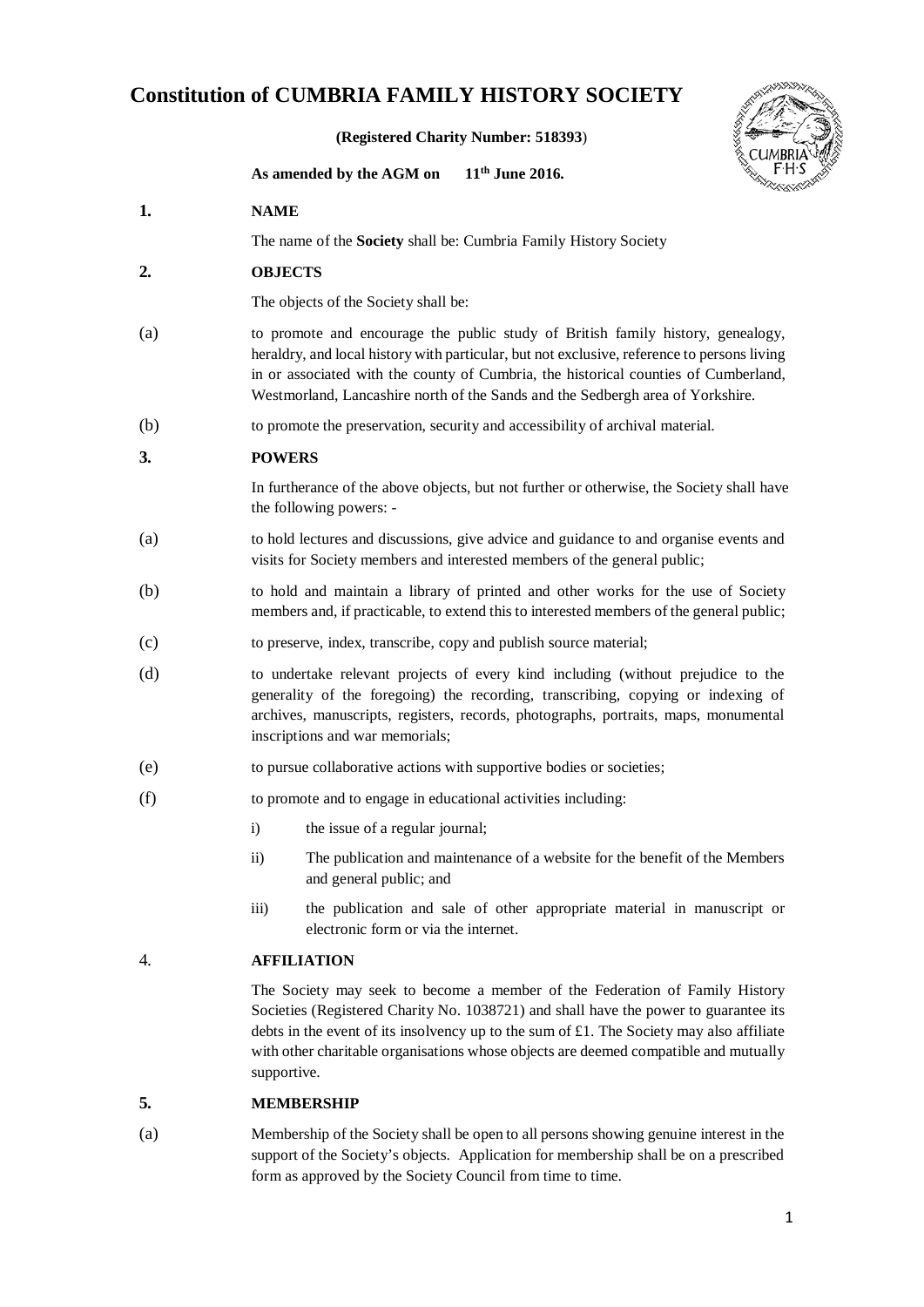# **Constitution of CUMBRIA FAMILY HISTORY SOCIETY**

**(Registered Charity Number: [518393](http://apps.charitycommission.gov.uk/Showcharity/RegisterOfCharities/SearchResultHandler.aspx?RegisteredCharityNumber=518393)**)



**As amended by the AGM on 11th June 2016.**

- **1. NAME**
	- The name of the **Society** shall be: Cumbria Family History Society
- **2. OBJECTS**

The objects of the Society shall be:

- (a) to promote and encourage the public study of British family history, genealogy, heraldry, and local history with particular, but not exclusive, reference to persons living in or associated with the county of Cumbria, the historical counties of Cumberland, Westmorland, Lancashire north of the Sands and the Sedbergh area of Yorkshire.
- (b) to promote the preservation, security and accessibility of archival material.

#### **3. POWERS**

In furtherance of the above objects, but not further or otherwise, the Society shall have the following powers: -

- (a) to hold lectures and discussions, give advice and guidance to and organise events and visits for Society members and interested members of the general public;
- (b) to hold and maintain a library of printed and other works for the use of Society members and, if practicable, to extend this to interested members of the general public;
- (c) to preserve, index, transcribe, copy and publish source material;
- (d) to undertake relevant projects of every kind including (without prejudice to the generality of the foregoing) the recording, transcribing, copying or indexing of archives, manuscripts, registers, records, photographs, portraits, maps, monumental inscriptions and war memorials;
- (e) to pursue collaborative actions with supportive bodies or societies;
- (f) to promote and to engage in educational activities including:
	- i) the issue of a regular journal;
	- ii) The publication and maintenance of a website for the benefit of the Members and general public; and
	- iii) the publication and sale of other appropriate material in manuscript or electronic form or via the internet.

### 4. **AFFILIATION**

The Society may seek to become a member of the Federation of Family History Societies (Registered Charity No. 1038721) and shall have the power to guarantee its debts in the event of its insolvency up to the sum of £1. The Society may also affiliate with other charitable organisations whose objects are deemed compatible and mutually supportive.

#### **5. MEMBERSHIP**

(a) Membership of the Society shall be open to all persons showing genuine interest in the support of the Society's objects. Application for membership shall be on a prescribed form as approved by the Society Council from time to time.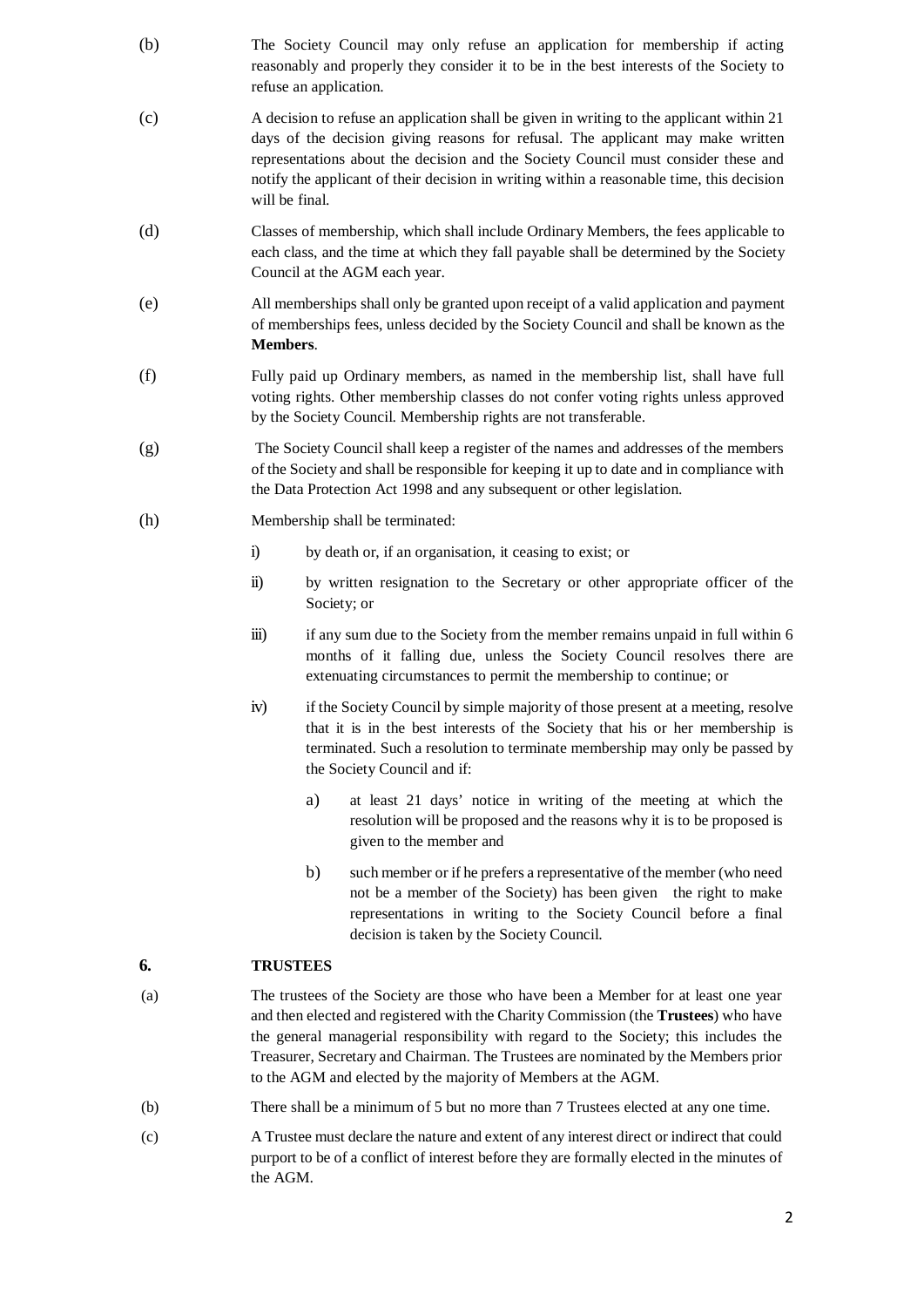- (b) The Society Council may only refuse an application for membership if acting reasonably and properly they consider it to be in the best interests of the Society to refuse an application.
- (c) A decision to refuse an application shall be given in writing to the applicant within 21 days of the decision giving reasons for refusal. The applicant may make written representations about the decision and the Society Council must consider these and notify the applicant of their decision in writing within a reasonable time, this decision will be final.
- (d) Classes of membership, which shall include Ordinary Members, the fees applicable to each class, and the time at which they fall payable shall be determined by the Society Council at the AGM each year.
- (e) All memberships shall only be granted upon receipt of a valid application and payment of memberships fees, unless decided by the Society Council and shall be known as the **Members**.
- (f) Fully paid up Ordinary members, as named in the membership list, shall have full voting rights. Other membership classes do not confer voting rights unless approved by the Society Council. Membership rights are not transferable.
- (g) The Society Council shall keep a register of the names and addresses of the members of the Society and shall be responsible for keeping it up to date and in compliance with the Data Protection Act 1998 and any subsequent or other legislation.
- (h) Membership shall be terminated:
	- i) by death or, if an organisation, it ceasing to exist; or
	- ii) by written resignation to the Secretary or other appropriate officer of the Society; or
	- iii) if any sum due to the Society from the member remains unpaid in full within 6 months of it falling due, unless the Society Council resolves there are extenuating circumstances to permit the membership to continue; or
	- iv) if the Society Council by simple majority of those present at a meeting, resolve that it is in the best interests of the Society that his or her membership is terminated. Such a resolution to terminate membership may only be passed by the Society Council and if:
		- a) at least 21 days' notice in writing of the meeting at which the resolution will be proposed and the reasons why it is to be proposed is given to the member and
		- b) such member or if he prefers a representative of the member (who need not be a member of the Society) has been given the right to make representations in writing to the Society Council before a final decision is taken by the Society Council.

### **6. TRUSTEES**

- (a) The trustees of the Society are those who have been a Member for at least one year and then elected and registered with the Charity Commission (the **Trustees**) who have the general managerial responsibility with regard to the Society; this includes the Treasurer, Secretary and Chairman. The Trustees are nominated by the Members prior to the AGM and elected by the majority of Members at the AGM.
- (b) There shall be a minimum of 5 but no more than 7 Trustees elected at any one time.
- (c) A Trustee must declare the nature and extent of any interest direct or indirect that could purport to be of a conflict of interest before they are formally elected in the minutes of the AGM.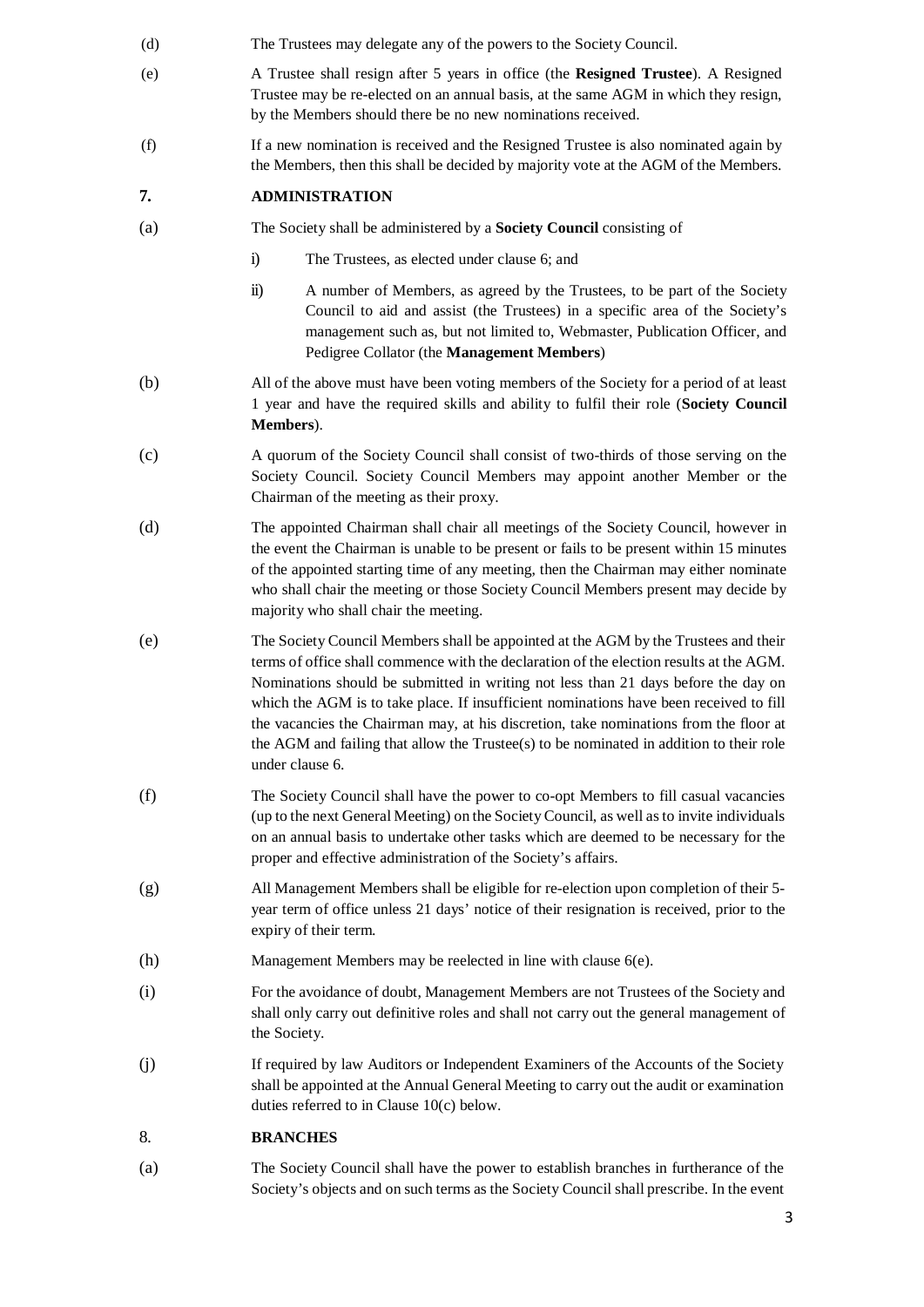- (d) The Trustees may delegate any of the powers to the Society Council.
- (e) A Trustee shall resign after 5 years in office (the **Resigned Trustee**). A Resigned Trustee may be re-elected on an annual basis, at the same AGM in which they resign, by the Members should there be no new nominations received.
- (f) If a new nomination is received and the Resigned Trustee is also nominated again by the Members, then this shall be decided by majority vote at the AGM of the Members.

## **7. ADMINISTRATION**

- (a) The Society shall be administered by a **Society Council** consisting of
	- i) The Trustees, as elected under clause 6; and
	- ii) A number of Members, as agreed by the Trustees, to be part of the Society Council to aid and assist (the Trustees) in a specific area of the Society's management such as, but not limited to, Webmaster, Publication Officer, and Pedigree Collator (the **Management Members**)
- (b) All of the above must have been voting members of the Society for a period of at least 1 year and have the required skills and ability to fulfil their role (**Society Council Members**).
- (c) A quorum of the Society Council shall consist of two-thirds of those serving on the Society Council. Society Council Members may appoint another Member or the Chairman of the meeting as their proxy.
- (d) The appointed Chairman shall chair all meetings of the Society Council, however in the event the Chairman is unable to be present or fails to be present within 15 minutes of the appointed starting time of any meeting, then the Chairman may either nominate who shall chair the meeting or those Society Council Members present may decide by majority who shall chair the meeting.
- (e) The Society Council Members shall be appointed at the AGM by the Trustees and their terms of office shall commence with the declaration of the election results at the AGM. Nominations should be submitted in writing not less than 21 days before the day on which the AGM is to take place. If insufficient nominations have been received to fill the vacancies the Chairman may, at his discretion, take nominations from the floor at the AGM and failing that allow the Trustee(s) to be nominated in addition to their role under clause 6.
- (f) The Society Council shall have the power to co-opt Members to fill casual vacancies (up to the next General Meeting) on the Society Council, as well as to invite individuals on an annual basis to undertake other tasks which are deemed to be necessary for the proper and effective administration of the Society's affairs.
- (g) All Management Members shall be eligible for re-election upon completion of their 5 year term of office unless 21 days' notice of their resignation is received, prior to the expiry of their term.
- (h) Management Members may be reelected in line with clause 6(e).
- (i) For the avoidance of doubt, Management Members are not Trustees of the Society and shall only carry out definitive roles and shall not carry out the general management of the Society.
- (j) If required by law Auditors or Independent Examiners of the Accounts of the Society shall be appointed at the Annual General Meeting to carry out the audit or examination duties referred to in Clause 10(c) below.

#### 8. **BRANCHES**

(a) The Society Council shall have the power to establish branches in furtherance of the Society's objects and on such terms as the Society Council shall prescribe. In the event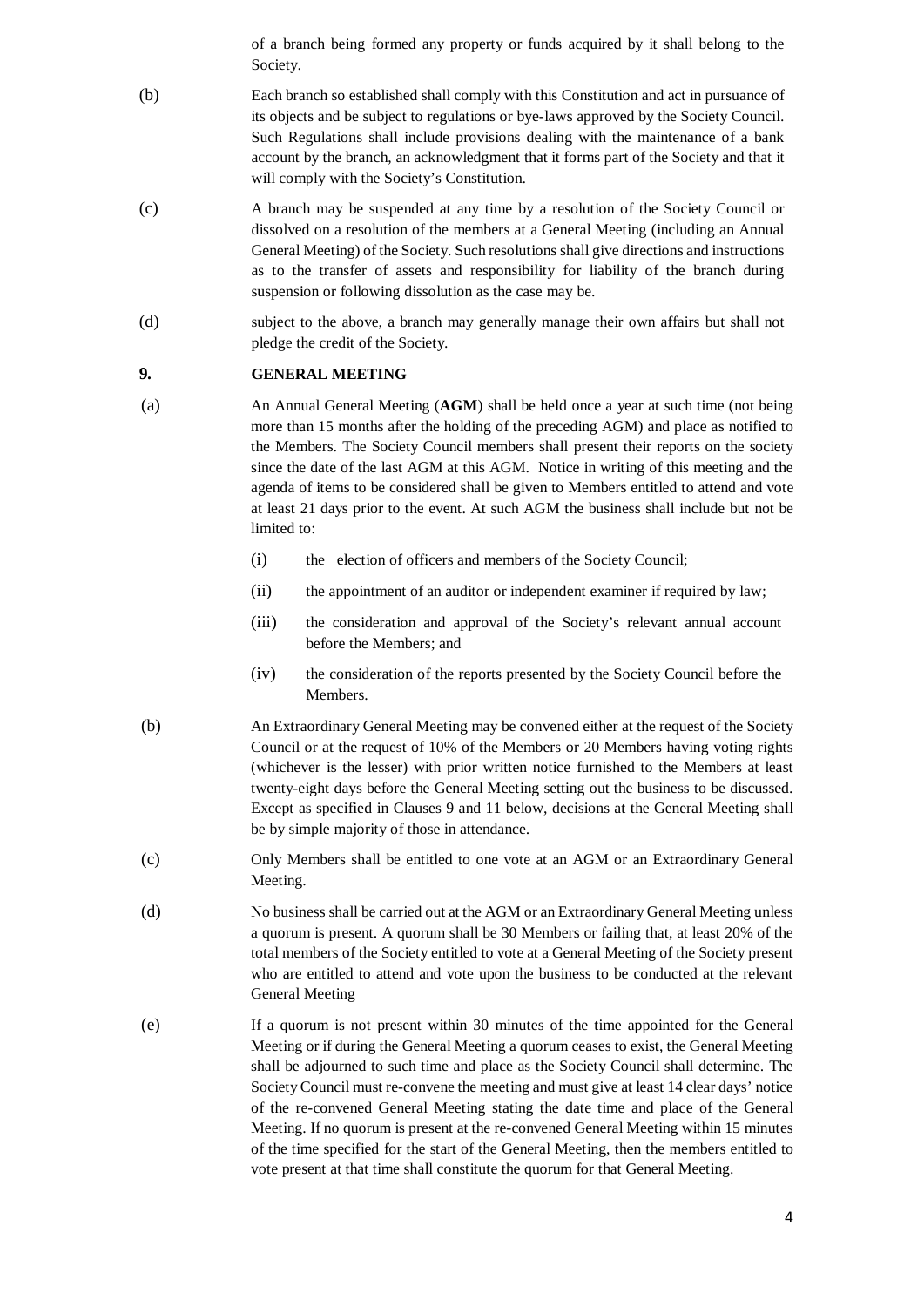of a branch being formed any property or funds acquired by it shall belong to the Society.

- (b) Each branch so established shall comply with this Constitution and act in pursuance of its objects and be subject to regulations or bye-laws approved by the Society Council. Such Regulations shall include provisions dealing with the maintenance of a bank account by the branch, an acknowledgment that it forms part of the Society and that it will comply with the Society's Constitution.
- (c) A branch may be suspended at any time by a resolution of the Society Council or dissolved on a resolution of the members at a General Meeting (including an Annual General Meeting) of the Society. Such resolutions shall give directions and instructions as to the transfer of assets and responsibility for liability of the branch during suspension or following dissolution as the case may be.
- (d) subject to the above, a branch may generally manage their own affairs but shall not pledge the credit of the Society.

#### **9. GENERAL MEETING**

(a) An Annual General Meeting (**AGM**) shall be held once a year at such time (not being more than 15 months after the holding of the preceding AGM) and place as notified to the Members. The Society Council members shall present their reports on the society since the date of the last AGM at this AGM. Notice in writing of this meeting and the agenda of items to be considered shall be given to Members entitled to attend and vote at least 21 days prior to the event. At such AGM the business shall include but not be limited to:

- (i) the election of officers and members of the Society Council;
- (ii) the appointment of an auditor or independent examiner if required by law;
- (iii) the consideration and approval of the Society's relevant annual account before the Members; and
- (iv) the consideration of the reports presented by the Society Council before the Members.
- (b) An Extraordinary General Meeting may be convened either at the request of the Society Council or at the request of 10% of the Members or 20 Members having voting rights (whichever is the lesser) with prior written notice furnished to the Members at least twenty-eight days before the General Meeting setting out the business to be discussed. Except as specified in Clauses 9 and 11 below, decisions at the General Meeting shall be by simple majority of those in attendance.
- (c) Only Members shall be entitled to one vote at an AGM or an Extraordinary General Meeting.
- (d) No business shall be carried out at the AGM or an Extraordinary General Meeting unless a quorum is present. A quorum shall be 30 Members or failing that, at least 20% of the total members of the Society entitled to vote at a General Meeting of the Society present who are entitled to attend and vote upon the business to be conducted at the relevant General Meeting
- (e) If a quorum is not present within 30 minutes of the time appointed for the General Meeting or if during the General Meeting a quorum ceases to exist, the General Meeting shall be adjourned to such time and place as the Society Council shall determine. The Society Council must re-convene the meeting and must give at least 14 clear days' notice of the re-convened General Meeting stating the date time and place of the General Meeting. If no quorum is present at the re-convened General Meeting within 15 minutes of the time specified for the start of the General Meeting, then the members entitled to vote present at that time shall constitute the quorum for that General Meeting.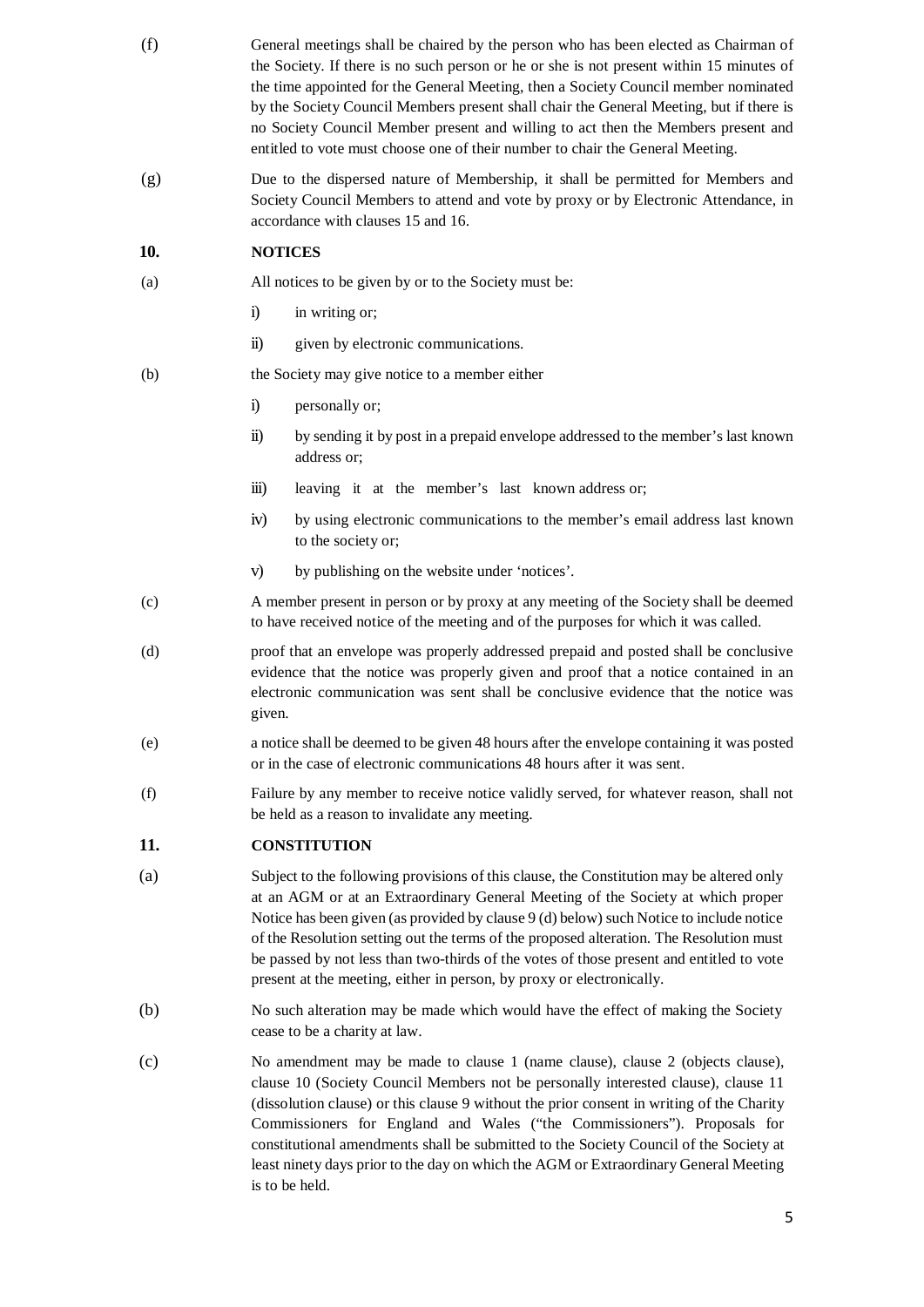- (f) General meetings shall be chaired by the person who has been elected as Chairman of the Society. If there is no such person or he or she is not present within 15 minutes of the time appointed for the General Meeting, then a Society Council member nominated by the Society Council Members present shall chair the General Meeting, but if there is no Society Council Member present and willing to act then the Members present and entitled to vote must choose one of their number to chair the General Meeting.
- (g) Due to the dispersed nature of Membership, it shall be permitted for Members and Society Council Members to attend and vote by proxy or by Electronic Attendance, in accordance with clauses 15 and 16.

#### **10. NOTICES**

- (a) All notices to be given by or to the Society must be:
	- i) in writing or;
	- ii) given by electronic communications.
- (b) the Society may give notice to a member either
	- i) personally or;
	- ii) by sending it by post in a prepaid envelope addressed to the member's last known address or;
	- iii) leaving it at the member's last known address or;
	- iv) by using electronic communications to the member's email address last known to the society or;
	- v) by publishing on the website under 'notices'.
- (c) A member present in person or by proxy at any meeting of the Society shall be deemed to have received notice of the meeting and of the purposes for which it was called.
- (d) proof that an envelope was properly addressed prepaid and posted shall be conclusive evidence that the notice was properly given and proof that a notice contained in an electronic communication was sent shall be conclusive evidence that the notice was given.
- (e) a notice shall be deemed to be given 48 hours after the envelope containing it was posted or in the case of electronic communications 48 hours after it was sent.
- (f) Failure by any member to receive notice validly served, for whatever reason, shall not be held as a reason to invalidate any meeting.

### **11. CONSTITUTION**

- (a) Subject to the following provisions of this clause, the Constitution may be altered only at an AGM or at an Extraordinary General Meeting of the Society at which proper Notice has been given (as provided by clause 9 (d) below) such Notice to include notice of the Resolution setting out the terms of the proposed alteration. The Resolution must be passed by not less than two-thirds of the votes of those present and entitled to vote present at the meeting, either in person, by proxy or electronically.
- (b) No such alteration may be made which would have the effect of making the Society cease to be a charity at law.
- (c) No amendment may be made to clause 1 (name clause), clause 2 (objects clause), clause 10 (Society Council Members not be personally interested clause), clause 11 (dissolution clause) or this clause 9 without the prior consent in writing of the Charity Commissioners for England and Wales ("the Commissioners"). Proposals for constitutional amendments shall be submitted to the Society Council of the Society at least ninety days prior to the day on which the AGM or Extraordinary General Meeting is to be held.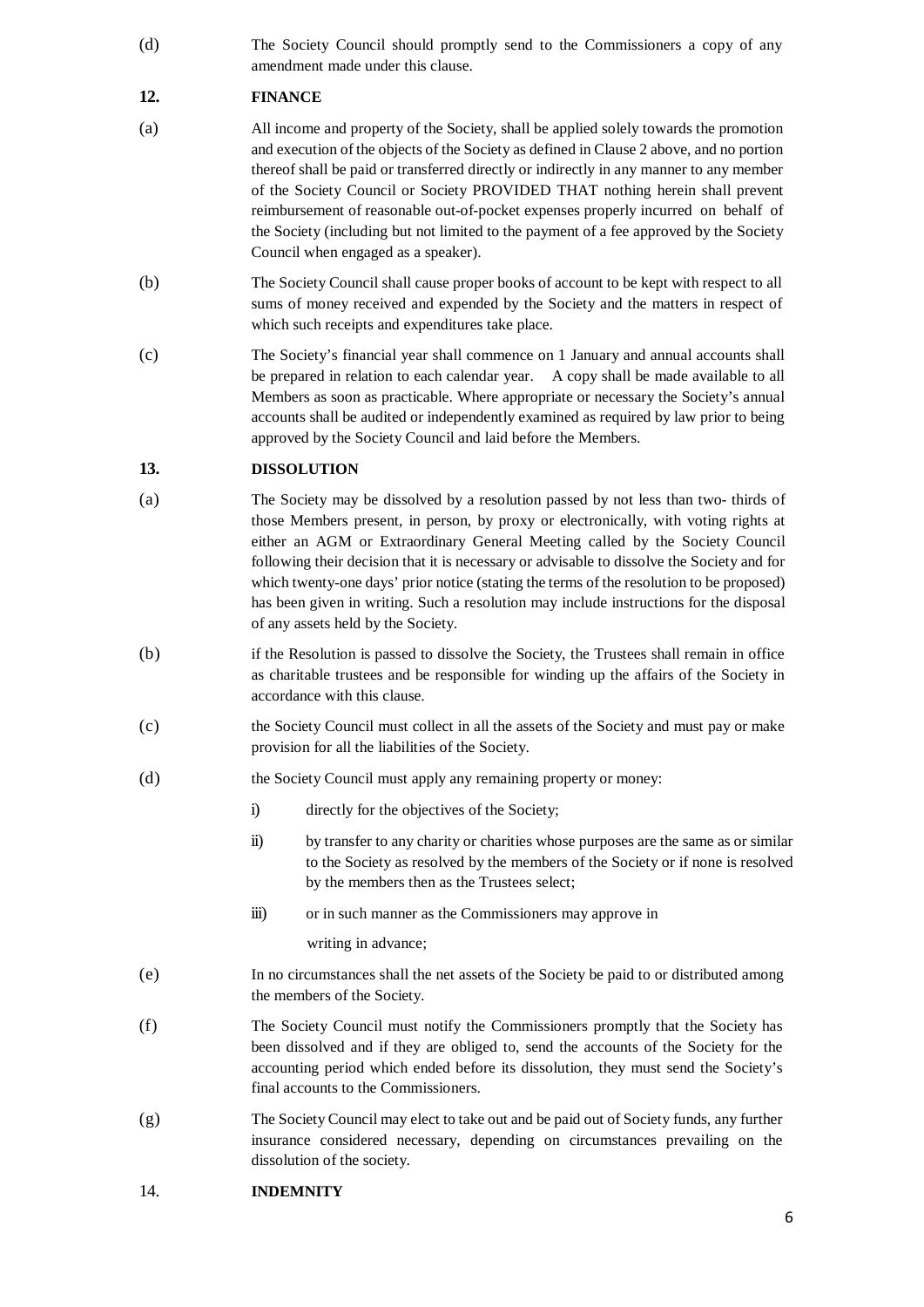(d) The Society Council should promptly send to the Commissioners a copy of any amendment made under this clause.

# **12. FINANCE**

- (a) All income and property of the Society, shall be applied solely towards the promotion and execution of the objects of the Society as defined in Clause 2 above, and no portion thereof shall be paid or transferred directly or indirectly in any manner to any member of the Society Council or Society PROVIDED THAT nothing herein shall prevent reimbursement of reasonable out-of-pocket expenses properly incurred on behalf of the Society (including but not limited to the payment of a fee approved by the Society Council when engaged as a speaker).
- (b) The Society Council shall cause proper books of account to be kept with respect to all sums of money received and expended by the Society and the matters in respect of which such receipts and expenditures take place.
- (c) The Society's financial year shall commence on 1 January and annual accounts shall be prepared in relation to each calendar year. A copy shall be made available to all Members as soon as practicable. Where appropriate or necessary the Society's annual accounts shall be audited or independently examined as required by law prior to being approved by the Society Council and laid before the Members.

## **13. DISSOLUTION**

- (a) The Society may be dissolved by a resolution passed by not less than two- thirds of those Members present, in person, by proxy or electronically, with voting rights at either an AGM or Extraordinary General Meeting called by the Society Council following their decision that it is necessary or advisable to dissolve the Society and for which twenty-one days' prior notice (stating the terms of the resolution to be proposed) has been given in writing. Such a resolution may include instructions for the disposal of any assets held by the Society.
- (b) if the Resolution is passed to dissolve the Society, the Trustees shall remain in office as charitable trustees and be responsible for winding up the affairs of the Society in accordance with this clause.
- (c) the Society Council must collect in all the assets of the Society and must pay or make provision for all the liabilities of the Society.
- (d) the Society Council must apply any remaining property or money:
	- i) directly for the objectives of the Society;
	- ii) by transfer to any charity or charities whose purposes are the same as or similar to the Society as resolved by the members of the Society or if none is resolved by the members then as the Trustees select;
	- iii) or in such manner as the Commissioners may approve in

writing in advance;

- (e) In no circumstances shall the net assets of the Society be paid to or distributed among the members of the Society.
- (f) The Society Council must notify the Commissioners promptly that the Society has been dissolved and if they are obliged to, send the accounts of the Society for the accounting period which ended before its dissolution, they must send the Society's final accounts to the Commissioners.
- (g) The Society Council may elect to take out and be paid out of Society funds, any further insurance considered necessary, depending on circumstances prevailing on the dissolution of the society.
- 14. **INDEMNITY**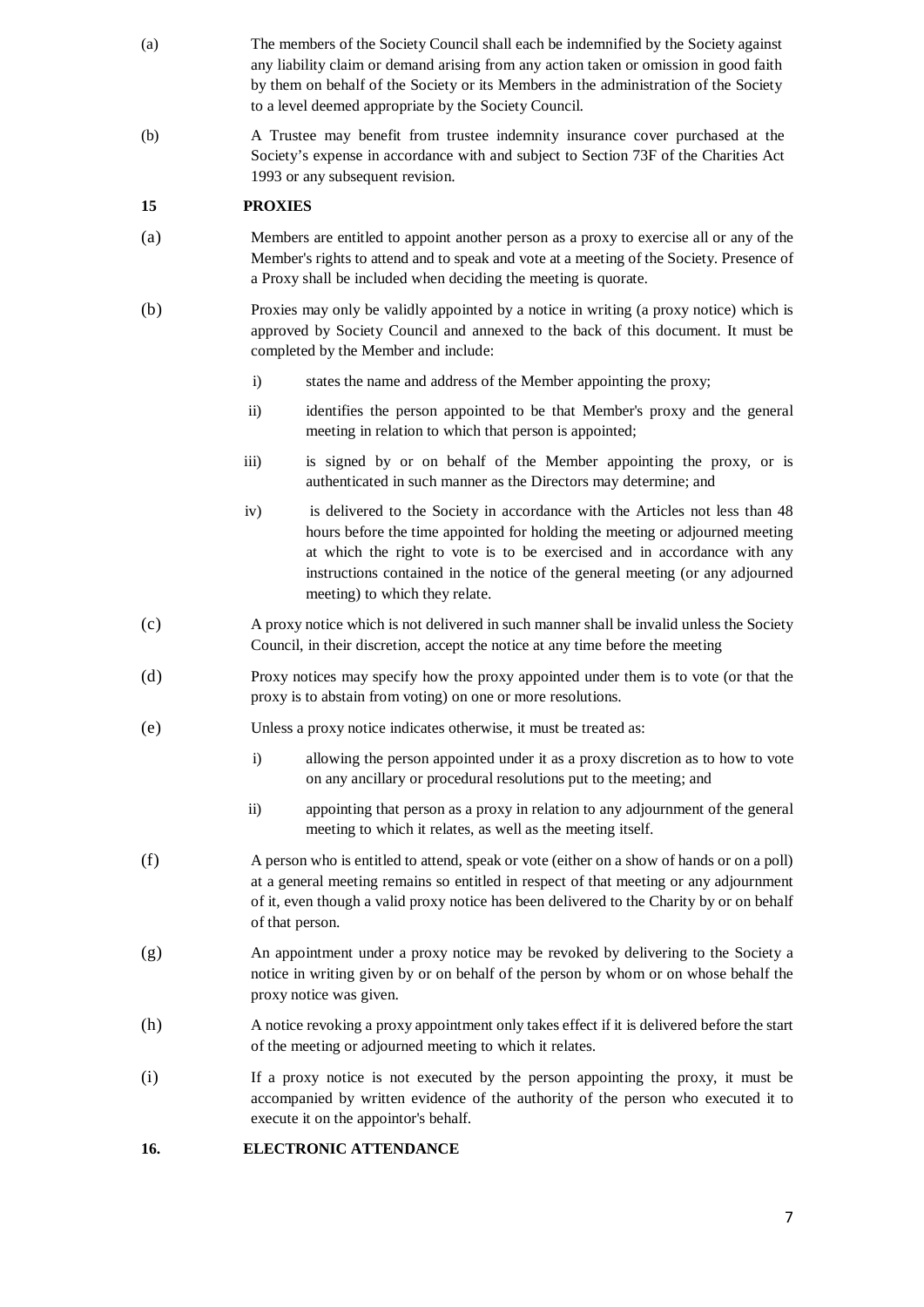- (a) The members of the Society Council shall each be indemnified by the Society against any liability claim or demand arising from any action taken or omission in good faith by them on behalf of the Society or its Members in the administration of the Society to a level deemed appropriate by the Society Council.
- (b) A Trustee may benefit from trustee indemnity insurance cover purchased at the Society's expense in accordance with and subject to Section 73F of the Charities Act 1993 or any subsequent revision.

### **15 PROXIES**

- (a) Members are entitled to appoint another person as a proxy to exercise all or any of the Member's rights to attend and to speak and vote at a meeting of the Society. Presence of a Proxy shall be included when deciding the meeting is quorate.
- (b) Proxies may only be validly appointed by a notice in writing (a proxy notice) which is approved by Society Council and annexed to the back of this document. It must be completed by the Member and include:
	- i) states the name and address of the Member appointing the proxy;
	- ii) identifies the person appointed to be that Member's proxy and the general meeting in relation to which that person is appointed;
	- iii) is signed by or on behalf of the Member appointing the proxy, or is authenticated in such manner as the Directors may determine; and
	- iv) is delivered to the Society in accordance with the Articles not less than 48 hours before the time appointed for holding the meeting or adjourned meeting at which the right to vote is to be exercised and in accordance with any instructions contained in the notice of the general meeting (or any adjourned meeting) to which they relate.
- (c) A proxy notice which is not delivered in such manner shall be invalid unless the Society Council, in their discretion, accept the notice at any time before the meeting
- (d) Proxy notices may specify how the proxy appointed under them is to vote (or that the proxy is to abstain from voting) on one or more resolutions.
- (e) Unless a proxy notice indicates otherwise, it must be treated as:
	- i) allowing the person appointed under it as a proxy discretion as to how to vote on any ancillary or procedural resolutions put to the meeting; and
	- ii) appointing that person as a proxy in relation to any adjournment of the general meeting to which it relates, as well as the meeting itself.
- (f) A person who is entitled to attend, speak or vote (either on a show of hands or on a poll) at a general meeting remains so entitled in respect of that meeting or any adjournment of it, even though a valid proxy notice has been delivered to the Charity by or on behalf of that person.
- (g) An appointment under a proxy notice may be revoked by delivering to the Society a notice in writing given by or on behalf of the person by whom or on whose behalf the proxy notice was given.
- (h) A notice revoking a proxy appointment only takes effect if it is delivered before the start of the meeting or adjourned meeting to which it relates.
- (i) If a proxy notice is not executed by the person appointing the proxy, it must be accompanied by written evidence of the authority of the person who executed it to execute it on the appointor's behalf.

# **16. ELECTRONIC ATTENDANCE**